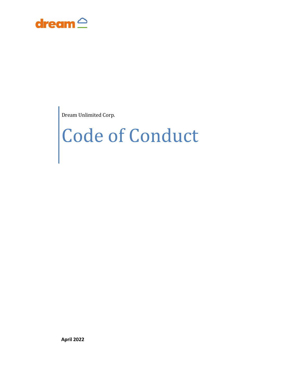

Dream Unlimited Corp.

# Code of Conduct

**April 2022**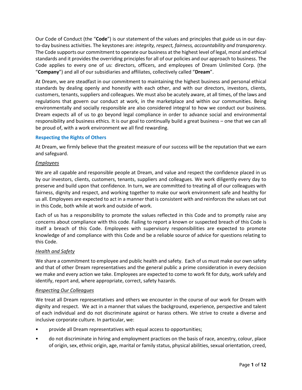Our Code of Conduct (the "**Code**") is our statement of the values and principles that guide us in our dayto-day business activities. The keystones are: *integrity, respect, fairness, accountability and transparency*. The Code supports our commitment to operate our business at the highest level of legal, moral and ethical standards and it provides the overriding principles for all of our policies and our approach to business. The Code applies to every one of us: directors, officers, and employees of Dream Unlimited Corp. (the "**Company**") and all of our subsidiaries and affiliates, collectively called "**Dream**".

At Dream, we are steadfast in our commitment to maintaining the highest business and personal ethical standards by dealing openly and honestly with each other, and with our directors, investors, clients, customers, tenants, suppliers and colleagues. We must also be acutely aware, at all times, of the laws and regulations that govern our conduct at work, in the marketplace and within our communities. Being environmentally and socially responsible are also considered integral to how we conduct our business. Dream expects all of us to go beyond legal compliance in order to advance social and environmental responsibility and business ethics. It is our goal to continually build a great business – one that we can all be proud of, with a work environment we all find rewarding.

# **Respecting the Rights of Others**

At Dream, we firmly believe that the greatest measure of our success will be the reputation that we earn and safeguard.

## *Employees*

We are all capable and responsible people at Dream, and value and respect the confidence placed in us by our investors, clients, customers, tenants, suppliers and colleagues. We work diligently every day to preserve and build upon that confidence. In turn, we are committed to treating all of our colleagues with fairness, dignity and respect, and working together to make our work environment safe and healthy for us all. Employees are expected to act in a manner that is consistent with and reinforces the values set out in this Code, both while at work and outside of work.

Each of us has a responsibility to promote the values reflected in this Code and to promptly raise any concerns about compliance with this code. Failing to report a known or suspected breach of this Code is itself a breach of this Code. Employees with supervisory responsibilities are expected to promote knowledge of and compliance with this Code and be a reliable source of advice for questions relating to this Code.

# *Health and Safety*

We share a commitment to employee and public health and safety. Each of us must make our own safety and that of other Dream representatives and the general public a prime consideration in every decision we make and every action we take. Employees are expected to come to work fit for duty, work safely and identify, report and, where appropriate, correct, safety hazards.

### *Respecting Our Colleagues*

We treat all Dream representatives and others we encounter in the course of our work for Dream with dignity and respect. We act in a manner that values the background, experience, perspective and talent of each individual and do not discriminate against or harass others. We strive to create a diverse and inclusive corporate culture. In particular, we:

- provide all Dream representatives with equal access to opportunities;
- do not discriminate in hiring and employment practices on the basis of race, ancestry, colour, place of origin, sex, ethnic origin, age, marital or family status, physical abilities, sexual orientation, creed,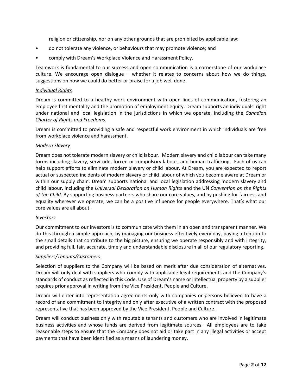religion or citizenship, nor on any other grounds that are prohibited by applicable law;

- do not tolerate any violence, or behaviours that may promote violence; and
- comply with Dream's Workplace Violence and Harassment Policy.

Teamwork is fundamental to our success and open communication is a cornerstone of our workplace culture. We encourage open dialogue – whether it relates to concerns about how we do things, suggestions on how we could do better or praise for a job well done.

### *Individual Rights*

Dream is committed to a healthy work environment with open lines of communication, fostering an employee first mentality and the promotion of employment equity. Dream supports an individuals' right under national and local legislation in the jurisdictions in which we operate, including the *Canadian Charter of Rights and Freedoms*.

Dream is committed to providing a safe and respectful work environment in which individuals are free from workplace violence and harassment.

### *Modern Slavery*

Dream does not tolerate modern slavery or child labour. Modern slavery and child labour can take many forms including slavery, servitude, forced or compulsory labour, and human trafficking. Each of us can help support efforts to eliminate modern slavery or child labour. At Dream, you are expected to report actual or suspected incidents of modern slavery or child labour of which you become aware at Dream or within our supply chain. Dream supports national and local legislation addressing modern slavery and child labour, including the *Universal Declaration on Human Rights* and the UN *Convention on the Rights of the Child*. By supporting business partners who share our core values, and by pushing for fairness and equality wherever we operate, we can be a positive influence for people everywhere. That's what our core values are all about.

### *Investors*

Our commitment to our investors is to communicate with them in an open and transparent manner. We do this through a simple approach, by managing our business effectively every day, paying attention to the small details that contribute to the big picture, ensuring we operate responsibly and with integrity, and providing full, fair, accurate, timely and understandable disclosure in all of our regulatory reporting.

### *Suppliers/Tenants/Customers*

Selection of suppliers to the Company will be based on merit after due consideration of alternatives. Dream will only deal with suppliers who comply with applicable legal requirements and the Company's standards of conduct as reflected in this Code. Use of Dream's name or intellectual property by a supplier requires prior approval in writing from the Vice President, People and Culture.

Dream will enter into representation agreements only with companies or persons believed to have a record of and commitment to integrity and only after executive of a written contract with the proposed representative that has been approved by the Vice President, People and Culture.

Dream will conduct business only with reputable tenants and customers who are involved in legitimate business activities and whose funds are derived from legitimate sources. All employees are to take reasonable steps to ensure that the Company does not aid or take part in any illegal activities or accept payments that have been identified as a means of laundering money.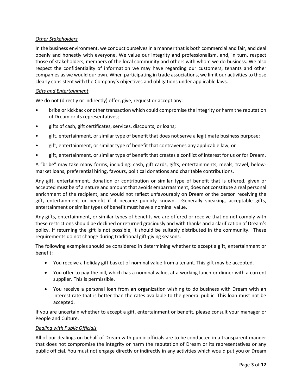# *Other Stakeholders*

In the business environment, we conduct ourselves in a manner that is both commercial and fair, and deal openly and honestly with everyone. We value our integrity and professionalism, and, in turn, respect those of stakeholders, members of the local community and others with whom we do business. We also respect the confidentiality of information we may have regarding our customers, tenants and other companies as we would our own. When participating in trade associations, we limit our activities to those clearly consistent with the Company's objectives and obligations under applicable laws.

# *Gifts and Entertainment*

We do not (directly or indirectly) offer, give, request or accept any:

- bribe or kickback or other transaction which could compromise the integrity or harm the reputation of Dream or its representatives;
- gifts of cash, gift certificates, services, discounts, or loans;
- gift, entertainment, or similar type of benefit that does not serve a legitimate business purpose;
- gift, entertainment, or similar type of benefit that contravenes any applicable law; or
- gift, entertainment, or similar type of benefit that creates a conflict of interest for us or for Dream.

A "bribe" may take many forms, including: cash, gift cards, gifts, entertainments, meals, travel, belowmarket loans, preferential hiring, favours, political donations and charitable contributions.

Any gift, entertainment, donation or contribution or similar type of benefit that is offered, given or accepted must be of a nature and amount that avoids embarrassment, does not constitute a real personal enrichment of the recipient, and would not reflect unfavourably on Dream or the person receiving the gift, entertainment or benefit if it became publicly known. Generally speaking, acceptable gifts, entertainment or similar types of benefit must have a nominal value.

Any gifts, entertainment, or similar types of benefits we are offered or receive that do not comply with these restrictions should be declined or returned graciously and with thanks and a clarification of Dream's policy. If returning the gift is not possible, it should be suitably distributed in the community. These requirements do not change during traditional gift-giving seasons.

The following examples should be considered in determining whether to accept a gift, entertainment or benefit:

- You receive a holiday gift basket of nominal value from a tenant. This gift may be accepted.
- You offer to pay the bill, which has a nominal value, at a working lunch or dinner with a current supplier. This is permissible.
- You receive a personal loan from an organization wishing to do business with Dream with an interest rate that is better than the rates available to the general public. This loan must not be accepted.

If you are uncertain whether to accept a gift, entertainment or benefit, please consult your manager or People and Culture.

# *Dealing with Public Officials*

All of our dealings on behalf of Dream with public officials are to be conducted in a transparent manner that does not compromise the integrity or harm the reputation of Dream or its representatives or any public official. You must not engage directly or indirectly in any activities which would put you or Dream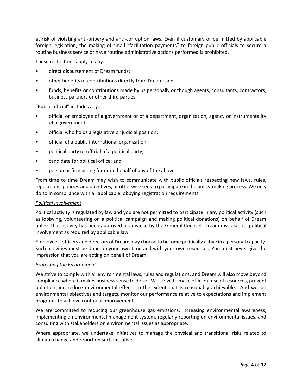at risk of violating anti-bribery and anti-corruption laws. Even if customary or permitted by applicable foreign legislation, the making of small "facilitation payments" to foreign public officials to secure a routine business service or have routine administrative actions performed is prohibited.

These restrictions apply to any:

- direct disbursement of Dream funds;
- other benefits or contributions directly from Dream; and
- funds, benefits or contributions made by us personally or though agents, consultants, contractors, business partners or other third parties.

"Public official" includes any:

- official or employee of a government or of a department, organization, agency or instrumentality of a government;
- official who holds a legislative or judicial position;
- official of a public international organization;
- political party or official of a political party;
- candidate for political office; and
- person or firm acting for or on behalf of any of the above.

From time to time Dream may wish to communicate with public officials respecting new laws, rules, regulations, policies and directives, or otherwise seek to participate in the policy-making process. We only do so in compliance with all applicable lobbying registration requirements.

## *Political Involvement*

Political activity is regulated by law and you are not permitted to participate in any political activity (such as lobbying, volunteering on a political campaign and making political donations) on behalf of Dream unless that activity has been approved in advance by the General Counsel. Dream discloses its political involvement as required by applicable law.

Employees, officers and directors of Dream may choose to become politically active in a personal capacity. Such activities must be done on your own time and with your own resources. You must never give the impression that you are acting on behalf of Dream.

# *Protecting the Environment*

We strive to comply with all environmental laws, rules and regulations, and Dream will also move beyond compliance where it makes business sense to do so. We strive to make efficient use of resources, prevent pollution and reduce environmental effects to the extent that is reasonably achievable. And we set environmental objectives and targets, monitor our performance relative to expectations and implement programs to achieve continual improvement.

We are committed to reducing our greenhouse gas emissions, increasing environmental awareness, implementing an environmental management system, regularly reporting on environmental issues, and consulting with stakeholders on environmental issues as appropriate.

Where appropriate, we undertake initiatives to manage the physical and transitional risks related to climate change and report on such initiatives.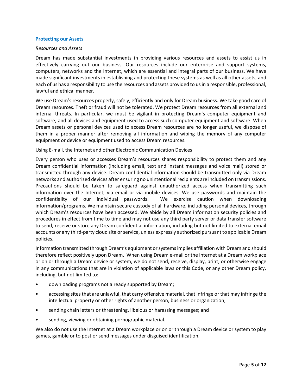### **Protecting our Assets**

### *Resources and Assets*

Dream has made substantial investments in providing various resources and assets to assist us in effectively carrying out our business. Our resources include our enterprise and support systems, computers, networks and the Internet, which are essential and integral parts of our business. We have made significant investments in establishing and protecting these systems as well as all other assets, and each of us has a responsibility to use the resources and assets provided to us in a responsible, professional, lawful and ethical manner.

We use Dream's resources properly, safely, efficiently and only for Dream business. We take good care of Dream resources. Theft or fraud will not be tolerated. We protect Dream resources from all external and internal threats. In particular, we must be vigilant in protecting Dream's computer equipment and software, and all devices and equipment used to access such computer equipment and software. When Dream assets or personal devices used to access Dream resources are no longer useful, we dispose of them in a proper manner after removing all information and wiping the memory of any computer equipment or device or equipment used to access Dream resources.

Using E-mail, the Internet and other Electronic Communication Devices

Every person who uses or accesses Dream's resources shares responsibility to protect them and any Dream confidential information (including email, text and instant messages and voice mail) stored or transmitted through any device. Dream confidential information should be transmitted only via Dream networks and authorized devices after ensuring no unintentional recipients are included on transmissions. Precautions should be taken to safeguard against unauthorized access when transmitting such information over the Internet, via email or via mobile devices. We use passwords and maintain the confidentiality of our individual passwords. We exercise caution when downloading information/programs. We maintain secure custody of all hardware, including personal devices, through which Dream's resources have been accessed. We abide by all Dream information security policies and procedures in effect from time to time and may not use any third party server or data transfer software to send, receive or store any Dream confidential information, including but not limited to external email accounts or any third-party cloud site or service, unless expressly authorized pursuant to applicable Dream policies.

Information transmitted through Dream's equipment or systems implies affiliation with Dream and should therefore reflect positively upon Dream. When using Dream e-mail or the internet at a Dream workplace or on or through a Dream device or system, we do not send, receive, display, print, or otherwise engage in any communications that are in violation of applicable laws or this Code, or any other Dream policy, including, but not limited to:

- downloading programs not already supported by Dream;
- accessing sites that are unlawful, that carry offensive material, that infringe or that may infringe the intellectual property or other rights of another person, business or organization;
- sending chain letters or threatening, libelous or harassing messages; and
- sending, viewing or obtaining pornographic material.

We also do not use the Internet at a Dream workplace or on or through a Dream device or system to play games, gamble or to post or send messages under disguised identification.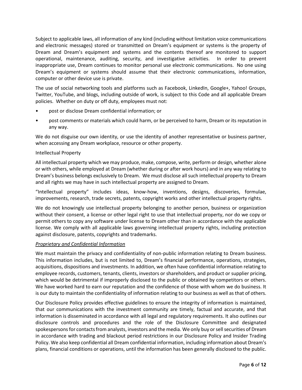Subject to applicable laws, all information of any kind (including without limitation voice communications and electronic messages) stored or transmitted on Dream's equipment or systems is the property of Dream and Dream's equipment and systems and the contents thereof are monitored to support operational, maintenance, auditing, security, and investigative activities. In order to prevent inappropriate use, Dream continues to monitor personal use electronic communications. No one using Dream's equipment or systems should assume that their electronic communications, information, computer or other device use is private.

The use of social networking tools and platforms such as Facebook, LinkedIn, Google+, Yahoo! Groups, Twitter, YouTube, and blogs, including outside of work, is subject to this Code and all applicable Dream policies. Whether on duty or off duty, employees must not:

- post or disclose Dream confidential information; or
- post comments or materials which could harm, or be perceived to harm, Dream or its reputation in any way.

We do not disguise our own identity, or use the identity of another representative or business partner, when accessing any Dream workplace, resource or other property.

# Intellectual Property

All intellectual property which we may produce, make, compose, write, perform or design, whether alone or with others, while employed at Dream (whether during or after work hours) and in any way relating to Dream's business belongs exclusively to Dream. We must disclose all such intellectual property to Dream and all rights we may have in such intellectual property are assigned to Dream.

"Intellectual property" includes ideas, know-how, inventions, designs, discoveries, formulae, improvements, research, trade secrets, patents, copyright works and other intellectual property rights.

We do not knowingly use intellectual property belonging to another person, business or organization without their consent, a license or other legal right to use that intellectual property, nor do we copy or permit others to copy any software under license to Dream other than in accordance with the applicable license. We comply with all applicable laws governing intellectual property rights, including protection against disclosure, patents, copyrights and trademarks.

# *Proprietary and Confidential Information*

We must maintain the privacy and confidentiality of non-public information relating to Dream business. This information includes, but is not limited to, Dream's financial performance, operations, strategies, acquisitions, dispositions and investments. In addition, we often have confidential information relating to employee records, customers, tenants, clients, investors or shareholders, and product or supplier pricing, which would be detrimental if improperly disclosed to the public or obtained by competitors or others. We have worked hard to earn our reputation and the confidence of those with whom we do business. It is our duty to maintain the confidentiality of information relating to our business as well as that of others.

Our Disclosure Policy provides effective guidelines to ensure the integrity of information is maintained, that our communications with the investment community are timely, factual and accurate, and that information is disseminated in accordance with all legal and regulatory requirements. It also outlines our disclosure controls and procedures and the role of the Disclosure Committee and designated spokespersons for contacts from analysts, investors and the media. We only buy or sell securities of Dream in accordance with trading and blackout period restrictions in our Disclosure Policy and Insider Trading Policy. We also keep confidential all Dream confidential information, including information about Dream's plans, financial conditions or operations, until the information has been generally disclosed to the public.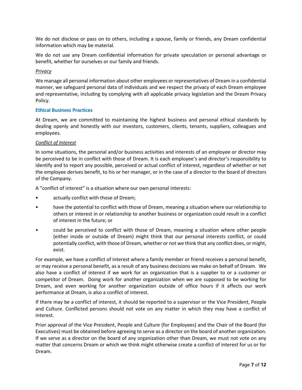We do not disclose or pass on to others, including a spouse, family or friends, any Dream confidential information which may be material.

We do not use any Dream confidential information for private speculation or personal advantage or benefit, whether for ourselves or our family and friends.

## *Privacy*

We manage all personal information about other employees or representatives of Dream in a confidential manner, we safeguard personal data of individuals and we respect the privacy of each Dream employee and representative, including by complying with all applicable privacy legislation and the Dream Privacy Policy.

## **Ethical Business Practices**

At Dream, we are committed to maintaining the highest business and personal ethical standards by dealing openly and honestly with our investors, customers, clients, tenants, suppliers, colleagues and employees.

## *Conflict of Interest*

In some situations, the personal and/or business activities and interests of an employee or director may be perceived to be in conflict with those of Dream. It is each employee's and director's responsibility to identify and to report any possible, perceived or actual conflict of interest, regardless of whether or not the employee derives benefit, to his or her manager, or in the case of a director to the board of directors of the Company.

A "conflict of interest" is a situation where our own personal interests:

- actually conflict with those of Dream;
- have the potential to conflict with those of Dream, meaning a situation where our relationship to others or interest in or relationship to another business or organization could result in a conflict of interest in the future; or
- could be perceived to conflict with those of Dream, meaning a situation where other people (either inside or outside of Dream) might think that our personal interests conflict, or could potentially conflict, with those of Dream, whether or not we think that any conflict does, or might, exist.

For example, we have a conflict of interest where a family member or friend receives a personal benefit, or may receive a personal benefit, as a result of any business decisions we make on behalf of Dream. We also have a conflict of interest if we work for an organization that is a supplier to or a customer or competitor of Dream. Doing work for another organization when we are supposed to be working for Dream, and even working for another organization outside of office hours if it affects our work performance at Dream, is also a conflict of interest.

If there may be a conflict of interest, it should be reported to a supervisor or the Vice President, People and Culture. Conflicted persons should not vote on any matter in which they may have a conflict of interest.

Prior approval of the Vice President, People and Culture (for Employees) and the Chair of the Board (for Executives) must be obtained before agreeing to serve as a director on the board of another organization. If we serve as a director on the board of any organization other than Dream, we must not vote on any matter that concerns Dream or which we think might otherwise create a conflict of interest for us or for Dream.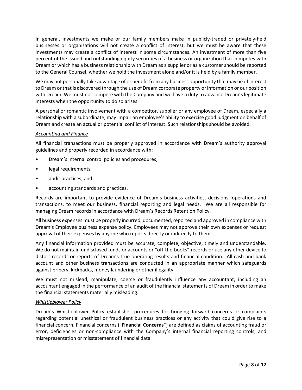In general, investments we make or our family members make in publicly-traded or privately-held businesses or organizations will not create a conflict of interest, but we must be aware that these investments may create a conflict of interest in some circumstances. An investment of more than five percent of the issued and outstanding equity securities of a business or organization that competes with Dream or which has a business relationship with Dream as a supplier or as a customer should be reported to the General Counsel, whether we hold the investment alone and/or it is held by a family member.

We may not personally take advantage of or benefit from any business opportunity that may be of interest to Dream or that is discovered through the use of Dream corporate property or information or our position with Dream. We must not compete with the Company and we have a duty to advance Dream's legitimate interests when the opportunity to do so arises.

A personal or romantic involvement with a competitor, supplier or any employee of Dream, especially a relationship with a subordinate, may impair an employee's ability to exercise good judgment on behalf of Dream and create an actual or potential conflict of interest. Such relationships should be avoided.

## *Accounting and Finance*

All financial transactions must be properly approved in accordance with Dream's authority approval guidelines and properly recorded in accordance with:

- Dream's internal control policies and procedures;
- legal requirements;
- audit practices; and
- accounting standards and practices.

Records are important to provide evidence of Dream's business activities, decisions, operations and transactions, to meet our business, financial reporting and legal needs. We are all responsible for managing Dream records in accordance with Dream's Records Retention Policy.

All business expenses must be properly incurred, documented, reported and approved in compliance with Dream's Employee business expense policy. Employees may not approve their own expenses or request approval of their expenses by anyone who reports directly or indirectly to them.

Any financial information provided must be accurate, complete, objective, timely and understandable. We do not maintain undisclosed funds or accounts or "off-the-books" records or use any other device to distort records or reports of Dream's true operating results and financial condition. All cash and bank account and other business transactions are conducted in an appropriate manner which safeguards against bribery, kickbacks, money laundering or other illegality.

We must not mislead, manipulate, coerce or fraudulently influence any accountant, including an accountant engaged in the performance of an audit of the financial statements of Dream in order to make the financial statements materially misleading.

# *Whistleblower Policy*

Dream's Whistleblower Policy establishes procedures for bringing forward concerns or complaints regarding potential unethical or fraudulent business practices or any activity that could give rise to a financial concern. Financial concerns ("**Financial Concerns**") are defined as claims of accounting fraud or error, deficiencies or non-compliance with the Company's internal financial reporting controls, and misrepresentation or misstatement of financial data.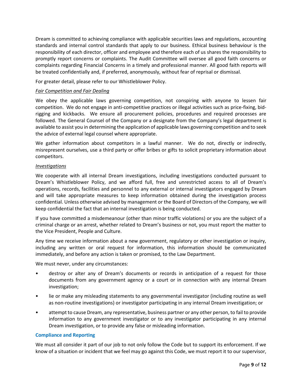Dream is committed to achieving compliance with applicable securities laws and regulations, accounting standards and internal control standards that apply to our business. Ethical business behaviour is the responsibility of each director, officer and employee and therefore each of us shares the responsibility to promptly report concerns or complaints. The Audit Committee will oversee all good faith concerns or complaints regarding Financial Concerns in a timely and professional manner. All good faith reports will be treated confidentially and, if preferred, anonymously, without fear of reprisal or dismissal.

For greater detail, please refer to our Whistleblower Policy.

# *Fair Competition and Fair Dealing*

We obey the applicable laws governing competition, not conspiring with anyone to lessen fair competition. We do not engage in anti-competitive practices or illegal activities such as price-fixing, bidrigging and kickbacks. We ensure all procurement policies, procedures and required processes are followed. The General Counsel of the Company or a designate from the Company's legal department is available to assist you in determining the application of applicable laws governing competition and to seek the advice of external legal counsel where appropriate.

We gather information about competitors in a lawful manner. We do not, directly or indirectly, misrepresent ourselves, use a third party or offer bribes or gifts to solicit proprietary information about competitors.

# *Investigations*

We cooperate with all internal Dream investigations, including investigations conducted pursuant to Dream's Whistleblower Policy, and we afford full, free and unrestricted access to all of Dream's operations, records, facilities and personnel to any external or internal investigators engaged by Dream and will take appropriate measures to keep information obtained during the investigation process confidential. Unless otherwise advised by management or the Board of Directors of the Company, we will keep confidential the fact that an internal investigation is being conducted.

If you have committed a misdemeanour (other than minor traffic violations) or you are the subject of a criminal charge or an arrest, whether related to Dream's business or not, you must report the matter to the Vice President, People and Culture.

Any time we receive information about a new government, regulatory or other investigation or inquiry, including any written or oral request for information, this information should be communicated immediately, and before any action is taken or promised, to the Law Department.

We must never, under any circumstances:

- destroy or alter any of Dream's documents or records in anticipation of a request for those documents from any government agency or a court or in connection with any internal Dream investigation;
- lie or make any misleading statements to any governmental investigator (including routine as well as non-routine investigations) or investigator participating in any internal Dream investigation; or
- attempt to cause Dream, any representative, business partner or any other person, to fail to provide information to any government investigator or to any investigator participating in any internal Dream investigation, or to provide any false or misleading information.

# **Compliance and Reporting**

We must all consider it part of our job to not only follow the Code but to support its enforcement. If we know of a situation or incident that we feel may go against this Code, we must report it to our supervisor,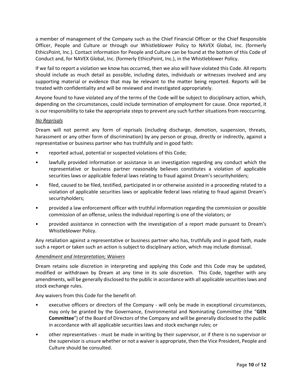a member of management of the Company such as the Chief Financial Officer or the Chief Responsible Officer, People and Culture or through our Whistleblower Policy to NAVEX Global, Inc. (formerly EthicsPoint, Inc.). Contact information for People and Culture can be found at the bottom of this Code of Conduct and, for NAVEX Global, Inc. (formerly EthicsPoint, Inc.), in the Whistleblower Policy.

If we fail to report a violation we know has occurred, then we also will have violated this Code. All reports should include as much detail as possible, including dates, individuals or witnesses involved and any supporting material or evidence that may be relevant to the matter being reported. Reports will be treated with confidentiality and will be reviewed and investigated appropriately.

Anyone found to have violated any of the terms of the Code will be subject to disciplinary action, which, depending on the circumstances, could include termination of employment for cause. Once reported, it is our responsibility to take the appropriate steps to prevent any such further situations from reoccurring.

# *No Reprisals*

Dream will not permit any form of reprisals (including discharge, demotion, suspension, threats, harassment or any other form of discrimination) by any person or group, directly or indirectly, against a representative or business partner who has truthfully and in good faith:

- reported actual, potential or suspected violations of this Code;
- lawfully provided information or assistance in an investigation regarding any conduct which the representative or business partner reasonably believes constitutes a violation of applicable securities laws or applicable federal laws relating to fraud against Dream's securityholders;
- filed, caused to be filed, testified, participated in or otherwise assisted in a proceeding related to a violation of applicable securities laws or applicable federal laws relating to fraud against Dream's securityholders;
- provided a law enforcement officer with truthful information regarding the commission or possible commission of an offense, unless the individual reporting is one of the violators; or
- provided assistance in connection with the investigation of a report made pursuant to Dream's Whistleblower Policy.

Any retaliation against a representative or business partner who has, truthfully and in good faith, made such a report or taken such an action is subject to disciplinary action, which may include dismissal.

# *Amendment and Interpretation; Waivers*

Dream retains sole discretion in interpreting and applying this Code and this Code may be updated, modified or withdrawn by Dream at any time in its sole discretion. This Code, together with any amendments, will be generally disclosed to the public in accordance with all applicable securities laws and stock exchange rules.

Any waivers from this Code for the benefit of:

- executive officers or directors of the Company will only be made in exceptional circumstances, may only be granted by the Governance, Environmental and Nominating Committee (the "**GEN Committee**") of the Board of Directors of the Company and will be generally disclosed to the public in accordance with all applicable securities laws and stock exchange rules; or
- other representatives must be made in writing by their supervisor, or if there is no supervisor or the supervisor is unsure whether or not a waiver is appropriate, then the Vice President, People and Culture should be consulted.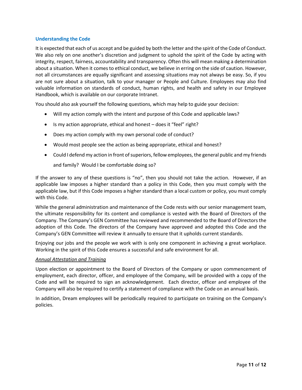## **Understanding the Code**

It is expected that each of us accept and be guided by both the letter and the spirit of the Code of Conduct. We also rely on one another's discretion and judgment to uphold the spirit of the Code by acting with integrity, respect, fairness, accountability and transparency. Often this will mean making a determination about a situation. When it comes to ethical conduct, we believe in erring on the side of caution. However, not all circumstances are equally significant and assessing situations may not always be easy. So, if you are not sure about a situation, talk to your manager or People and Culture. Employees may also find valuable information on standards of conduct, human rights, and health and safety in our Employee Handbook, which is available on our corporate Intranet.

You should also ask yourself the following questions, which may help to guide your decision:

- Will my action comply with the intent and purpose of this Code and applicable laws?
- Is my action appropriate, ethical and honest does it "feel" right?
- Does my action comply with my own personal code of conduct?
- Would most people see the action as being appropriate, ethical and honest?
- Could I defend my action in front of superiors, fellow employees, the general public and my friends and family? Would I be comfortable doing so?

If the answer to any of these questions is "no", then you should not take the action. However, if an applicable law imposes a higher standard than a policy in this Code, then you must comply with the applicable law, but if this Code imposes a higher standard than a local custom or policy, you must comply with this Code.

While the general administration and maintenance of the Code rests with our senior management team, the ultimate responsibility for its content and compliance is vested with the Board of Directors of the Company. The Company's GEN Committee has reviewed and recommended to the Board of Directors the adoption of this Code. The directors of the Company have approved and adopted this Code and the Company's GEN Committee will review it annually to ensure that it upholds current standards.

Enjoying our jobs and the people we work with is only one component in achieving a great workplace. Working in the spirit of this Code ensures a successful and safe environment for all.

### *Annual Attestation and Training*

Upon election or appointment to the Board of Directors of the Company or upon commencement of employment, each director, officer, and employee of the Company, will be provided with a copy of the Code and will be required to sign an acknowledgement. Each director, officer and employee of the Company will also be required to certify a statement of compliance with the Code on an annual basis.

In addition, Dream employees will be periodically required to participate on training on the Company's policies.